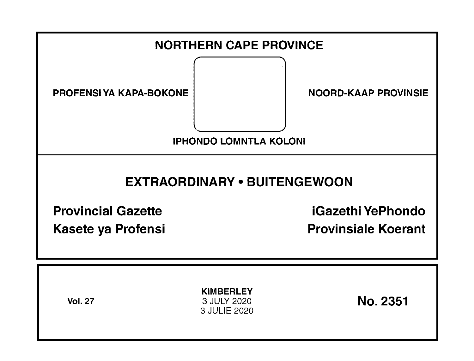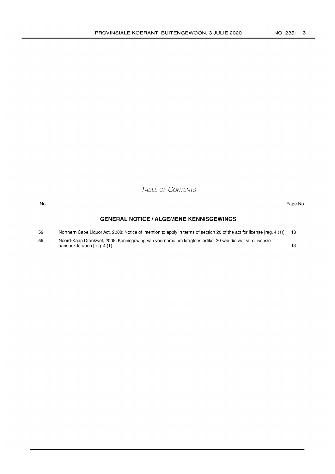TABLE OF CONTENTS

#### No Page No

## **GENERAL NOTICE I ALGEMENE KENNISGEWINGS**

| 59 | Northern Cape Liquor Act, 2008: Notice of intention to apply in terms of section 20 of the act for license [reg. 4 (1)] 13 |  |
|----|----------------------------------------------------------------------------------------------------------------------------|--|
| 59 | Noord-Kaap Drankwet, 2008: Kennisgewing van voorneme om kragtens artikel 20 van die wet vir n lisensie                     |  |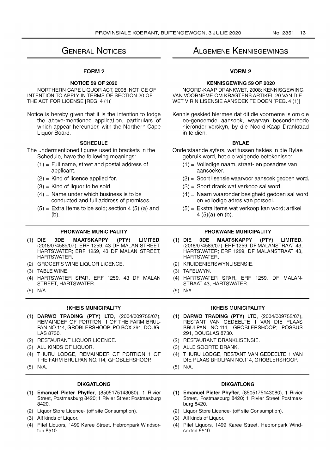# GENERAL NOTICES

## FORM 2

## NOTICE 59 OF 2020

NORTHERN CAPE LIQUOR ACT, 2008: NOTICE OF INTENTION TO APPLY IN TERMS OF SECTION 20 OF THE ACT FOR LICENSE [REG. 4 (1)]

Notice is hereby given that it is the intention to lodge the above-mentioned application, particulars of which appear hereunder, with the Northern Cape Liquor Board.

## **SCHEDULE**

The undermentioned figures used in brackets in the Schedule, have the following meanings:

- $(1)$  = Full name, street and postal address of applicant.
- $(2)$  = Kind of licence applied for.
- $(3)$  = Kind of liquor to be sold.
- $(4)$  = Name under which business is to be conducted and full address of premises.
- $(5)$  = Extra Items to be sold; section 4 (5) (a) and (b).

## PHOKWANE MUNICIPALITY

- (1) DIE 3DE MAATSKAPPY (PTY) LIMITED, (2018/074589/07), ERF 1259, 43 DF MALAN STREET, HARTSWATER; ERF 1259, 43 DF MALAN STREET, HARTSWATER.
- (2) GROCER'S WINE LIQUOR LICENCE.
- (3) TABLE WINE.
- (4) HARTSWATER SPAR, ERF 1259, 43 DF MALAN STREET, HARTSWATER.
- (5) N/A.

## !KHEIS MUNICIPALITY

- (1) DARWO TRADING (PTY) LTD, (2004/009755/07), REMAINDER OF PORTION 1 OF THE FARM BRUL-PAN NO.114, GROBLERSHOOP; PO BOX291, DOUG-LAS 8730.
- (2) RESTAURANT LIQUOR LICENCE.
- (3) ALL KINDS OF LIQUOR.
- (4) THURU LODGE, REMAINDER OF PORTION 1 OF THE FARM BRULPAN NO.114, GROBLERSHOOP.
- (5) N/A.

## DIKGATLONG

- (1) Emanuel Pieter Phyffer, (8505175143080), 1 Rivier Street, Postmasburg 8420; 1 Rivier Street Postmasburg 8420.
- (2) Liquor Store Licence- (off site Consumption).
- (3) All kinds of Liquor.
- (4) Pitel Liquors, 1499 Karee Street, Hebronpark Windsorton 8510.

# ALGEMENE KENNISGEWINGS

## VORM2

## KENNISGEWING 59 OF 2020

NOORD-KAAP DRANKWET, 2008: KENNISGEWING VAN VOORNEME OM KRAGTENS ARTIKEL 20 VAN DIE WET VIR N LlSENSIE AANSOEK TE DOEN [REG. 4 (1)]

Kennis geskied hiermee dat dit die voorneme is om die bo-genoemde aansoek, waarvan besonderhede hieronder verskyn, by die Noord-Kaap Drankraad in te dien.

## BYLAE

- Onderstaande syfers, wat tussen hakies in die Bylae gebruik word, het die volgende betekenisse:
	- (1) = Volledige naam, straat- en posadres van aansoeker.
	- (2) = Soort lisensie waarvoor aansoek gedoen word.
	- (3) = Soort drank wat verkoop sal word.
	- (4) = Naam waaronder besigheid gedoen sal word en volledige adres van perseel.
	- (5) = Ekstra items wat verkoop kan word; artikel 4 (5)(a) en (b).

## PHOKWANE MUNICIPALITY

- (1) DIE 3DE MAATSKAPPY (PTY) LIMITED, (2018/074589/07), ERF 1259, DF MALANSTRAAT 43, HARTSWATER; ERF 1259, DF MALANSTRAAT 43, HARTSWATER.
- (2) KRUIDENIERSWYNLlSENSIE.
- (3) TAFELWYN.
- (4) HARTSWATER SPAR, ERF 1259, DF MALAN-STRAAT 43, HARTSWATER.
- (5) N/A.

#### !KHEIS MUNICIPALITY

- (1) DARWO TRADING (PTY) LTD, (2004/009755/07), RESTANT VAN GEDEELTE 1 VAN DIE PLAAS BRULPAN NO.114, GROBLERSHOOP; POSBUS 291, DOUGLAS 8730.
- (2) RESTAURANT DRANKLISENSIE.
- (3) ALLE SOORTE DRANK.
- (4) THURU LODGE, RESTANT VAN GEDEELTE 1 VAN DIE PLAAS BRULPAN NO.114, GROBLERSHOOP.
- (5) N/A.

## DIKGATLONG

- (1) Emanuel Pieter Phyffer, (8505175143080), 1 Rivier Street, Postmasburg 8420; 1 Rivier Street Postmasburg 8420.
- (2) Liquor Store Licence- (off site Consumption).
- (3) All kinds of Liquor.
- (4) Pitel Liquors, 1499 Karee Street, Hebronpark Windsorton 8510.